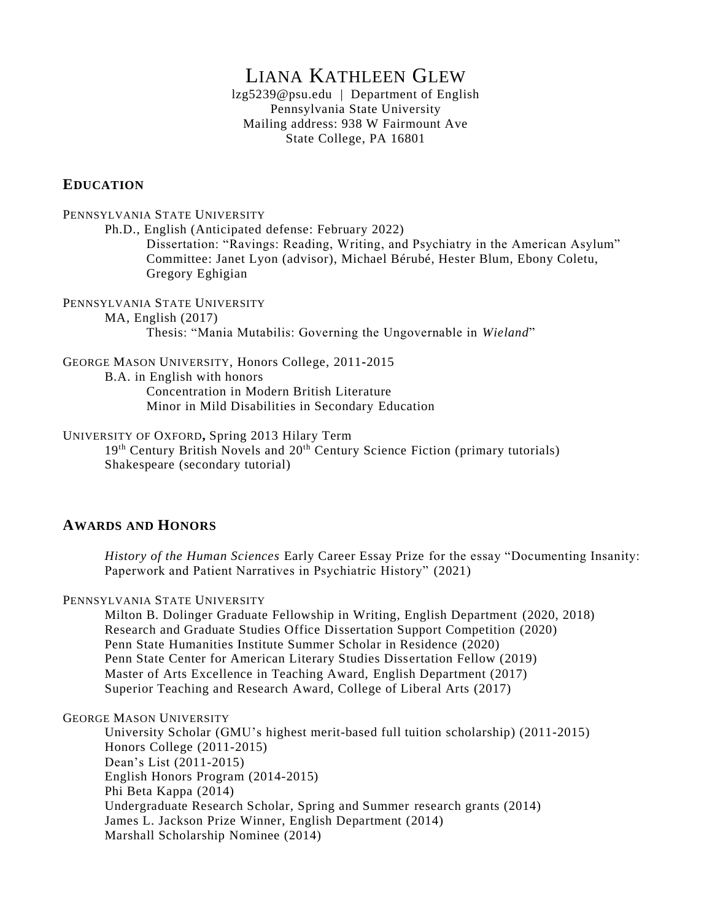# LIANA KATHLEEN GLEW

lzg5239@psu.edu | Department of English Pennsylvania State University Mailing address: 938 W Fairmount Ave State College, PA 16801

## **EDUCATION**

PENNSYLVANIA STATE UNIVERSITY Ph.D., English (Anticipated defense: February 2022) Dissertation: "Ravings: Reading, Writing, and Psychiatry in the American Asylum" Committee: Janet Lyon (advisor), Michael Bérubé, Hester Blum, Ebony Coletu, Gregory Eghigian PENNSYLVANIA STATE UNIVERSITY MA, English (2017) Thesis: "Mania Mutabilis: Governing the Ungovernable in *Wieland*"

## GEORGE MASON UNIVERSITY, Honors College, 2011**-**2015

B.A. in English with honors

Concentration in Modern British Literature Minor in Mild Disabilities in Secondary Education

## UNIVERSITY OF OXFORD**,** Spring 2013 Hilary Term

19th Century British Novels and 20th Century Science Fiction (primary tutorials) Shakespeare (secondary tutorial)

## **AWARDS AND HONORS**

*History of the Human Sciences* Early Career Essay Prize for the essay "Documenting Insanity: Paperwork and Patient Narratives in Psychiatric History" (2021)

## PENNSYLVANIA STATE UNIVERSITY

Milton B. Dolinger Graduate Fellowship in Writing, English Department (2020, 2018) Research and Graduate Studies Office Dissertation Support Competition (2020) Penn State Humanities Institute Summer Scholar in Residence (2020) Penn State Center for American Literary Studies Dissertation Fellow (2019) Master of Arts Excellence in Teaching Award, English Department (2017) Superior Teaching and Research Award, College of Liberal Arts (2017)

## GEORGE MASON UNIVERSITY

University Scholar (GMU's highest merit-based full tuition scholarship) (2011-2015) Honors College (2011-2015) Dean's List (2011-2015) English Honors Program (2014-2015) Phi Beta Kappa (2014) Undergraduate Research Scholar, Spring and Summer research grants (2014) James L. Jackson Prize Winner, English Department (2014) Marshall Scholarship Nominee (2014)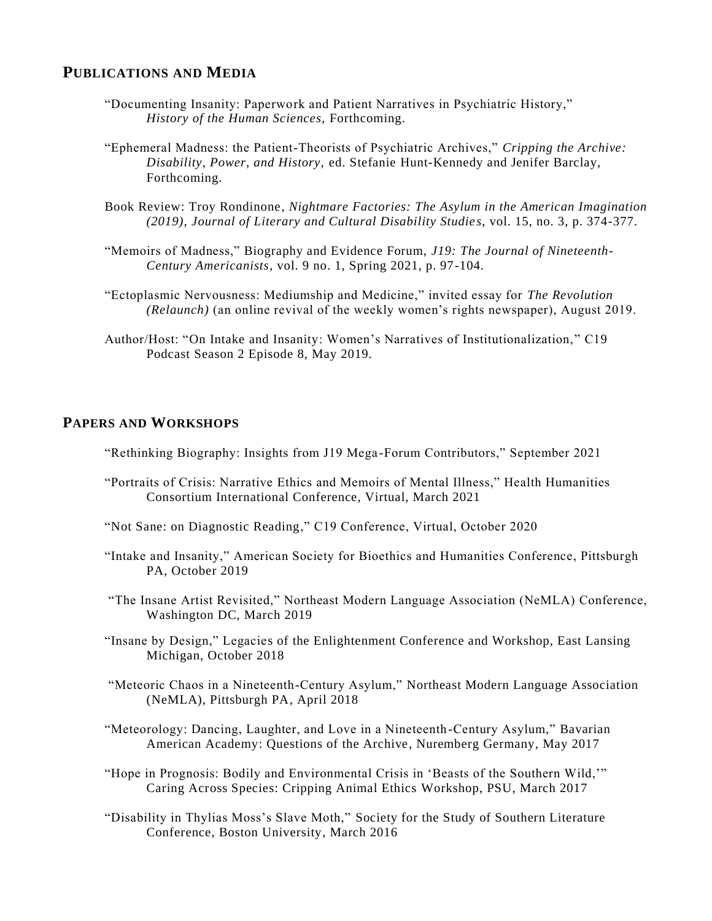## **PUBLICATIONS AND MEDIA**

- "Documenting Insanity: Paperwork and Patient Narratives in Psychiatric History," *History of the Human Sciences,* Forthcoming.
- "Ephemeral Madness: the Patient-Theorists of Psychiatric Archives," *Cripping the Archive: Disability, Power, and History,* ed. Stefanie Hunt-Kennedy and Jenifer Barclay, Forthcoming.
- Book Review: Troy Rondinone, *Nightmare Factories: The Asylum in the American Imagination (2019), Journal of Literary and Cultural Disability Studie s*, vol. 15, no. 3, p. 374-377.
- "Memoirs of Madness," Biography and Evidence Forum, *J19: The Journal of Nineteenth-Century Americanists*, vol. 9 no. 1, Spring 2021, p. 97-104.
- "Ectoplasmic Nervousness: Mediumship and Medicine," invited essay for *The Revolution (Relaunch)* (an online revival of the weekly women's rights newspaper), August 2019.
- Author/Host: "On Intake and Insanity: Women's Narratives of Institutionalization," C19 Podcast Season 2 Episode 8, May 2019.

## **PAPERS AND WORKSHOPS**

- "Rethinking Biography: Insights from J19 Mega -Forum Contributors," September 2021
- "Portraits of Crisis: Narrative Ethics and Memoirs of Mental Illness," Health Humanities Consortium International Conference, Virtual, March 2021
- "Not Sane: on Diagnostic Reading," C19 Conference, Virtual, October 2020
- "Intake and Insanity," American Society for Bioethics and Humanities Conference, Pittsburgh PA, October 2019
- "The Insane Artist Revisited," Northeast Modern Language Association (NeMLA) Conference, Washington DC, March 2019
- "Insane by Design," Legacies of the Enlightenment Conference and Workshop, East Lansing Michigan, October 2018
- "Meteoric Chaos in a Nineteenth-Century Asylum," Northeast Modern Language Association (NeMLA), Pittsburgh PA, April 2018
- "Meteorology: Dancing, Laughter, and Love in a Nineteenth-Century Asylum," Bavarian American Academy: Questions of the Archive, Nuremberg Germany, May 2017
- "Hope in Prognosis: Bodily and Environmental Crisis in 'Beasts of the Southern Wild,'" Caring Across Species: Cripping Animal Ethics Workshop, PSU, March 2017
- "Disability in Thylias Moss's Slave Moth," Society for the Study of Southern Literature Conference, Boston University, March 2016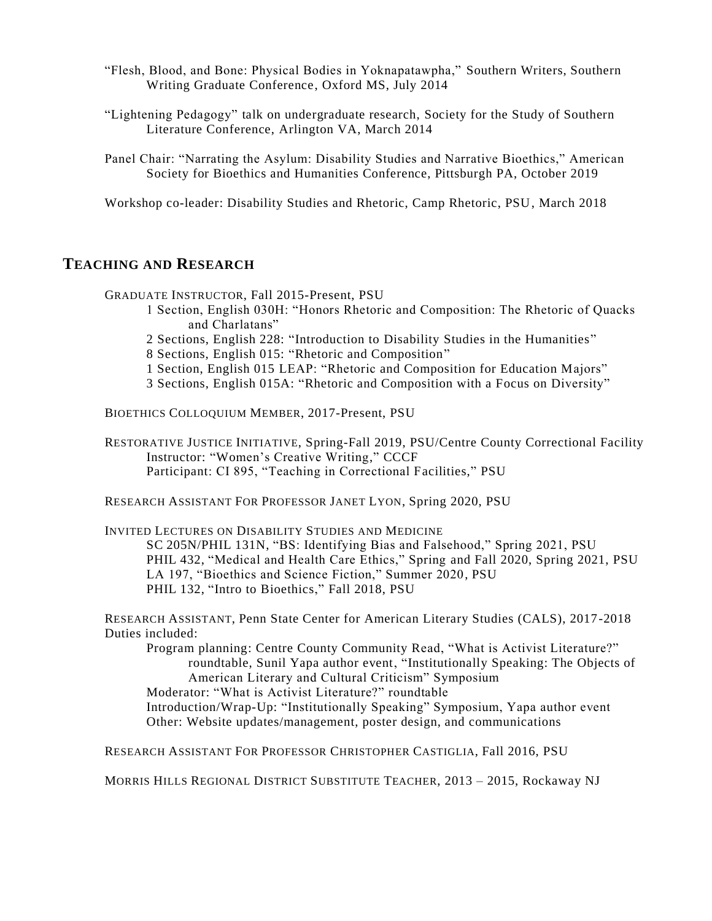- "Flesh, Blood, and Bone: Physical Bodies in Yoknapatawpha," Southern Writers, Southern Writing Graduate Conference, Oxford MS, July 2014
- "Lightening Pedagogy" talk on undergraduate research, Society for the Study of Southern Literature Conference, Arlington VA, March 2014
- Panel Chair: "Narrating the Asylum: Disability Studies and Narrative Bioethics," American Society for Bioethics and Humanities Conference, Pittsburgh PA, October 2019

Workshop co-leader: Disability Studies and Rhetoric, Camp Rhetoric, PSU, March 2018

## **TEACHING AND RESEARCH**

GRADUATE INSTRUCTOR, Fall 2015-Present, PSU

- 1 Section, English 030H: "Honors Rhetoric and Composition: The Rhetoric of Quacks and Charlatans"
- 2 Sections, English 228: "Introduction to Disability Studies in the Humanities"
- 8 Sections, English 015: "Rhetoric and Composition"
- 1 Section, English 015 LEAP: "Rhetoric and Composition for Education Majors"
- 3 Sections, English 015A: "Rhetoric and Composition with a Focus on Diversity"

BIOETHICS COLLOQUIUM MEMBER, 2017-Present, PSU

RESTORATIVE JUSTICE INITIATIVE, Spring-Fall 2019, PSU/Centre County Correctional Facility Instructor: "Women's Creative Writing," CCCF Participant: CI 895, "Teaching in Correctional Facilities," PSU

RESEARCH ASSISTANT FOR PROFESSOR JANET LYON, Spring 2020, PSU

INVITED LECTURES ON DISABILITY STUDIES AND MEDICINE SC 205N/PHIL 131N, "BS: Identifying Bias and Falsehood," Spring 2021, PSU PHIL 432, "Medical and Health Care Ethics," Spring and Fall 2020, Spring 2021, PSU LA 197, "Bioethics and Science Fiction," Summer 2020, PSU PHIL 132, "Intro to Bioethics," Fall 2018, PSU

RESEARCH ASSISTANT, Penn State Center for American Literary Studies (CALS), 2017-2018 Duties included:

Program planning: Centre County Community Read, "What is Activist Literature?" roundtable, Sunil Yapa author event, "Institutionally Speaking: The Objects of American Literary and Cultural Criticism" Symposium Moderator: "What is Activist Literature?" roundtable

Introduction/Wrap-Up: "Institutionally Speaking" Symposium, Yapa author event

Other: Website updates/management, poster design, and communications

RESEARCH ASSISTANT FOR PROFESSOR CHRISTOPHER CASTIGLIA, Fall 2016, PSU

MORRIS HILLS REGIONAL DISTRICT SUBSTITUTE TEACHER, 2013 – 2015, Rockaway NJ